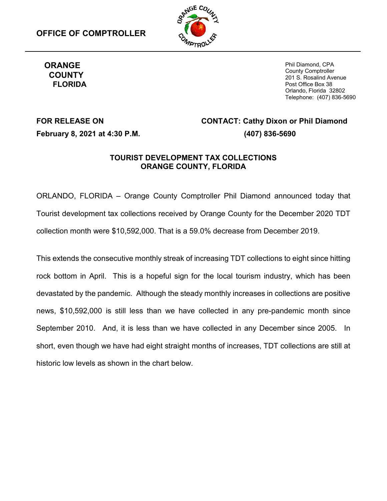

# **COUNTY FLORIDA**

**ORANGE** Phil Diamond, CPA County Comptroller 201 S. Rosalind Avenue Post Office Box 38 Orlando, Florida 32802 Telephone: (407) 836-5690

# **FOR RELEASE ON February 8, 2021 at 4:30 P.M.**

## **CONTACT: Cathy Dixon or Phil Diamond (407) 836-5690**

#### **TOURIST DEVELOPMENT TAX COLLECTIONS ORANGE COUNTY, FLORIDA**

ORLANDO, FLORIDA – Orange County Comptroller Phil Diamond announced today that Tourist development tax collections received by Orange County for the December 2020 TDT collection month were \$10,592,000. That is a 59.0% decrease from December 2019.

This extends the consecutive monthly streak of increasing TDT collections to eight since hitting rock bottom in April. This is a hopeful sign for the local tourism industry, which has been devastated by the pandemic. Although the steady monthly increases in collections are positive news, \$10,592,000 is still less than we have collected in any pre-pandemic month since September 2010. And, it is less than we have collected in any December since 2005. In short, even though we have had eight straight months of increases, TDT collections are still at historic low levels as shown in the chart below.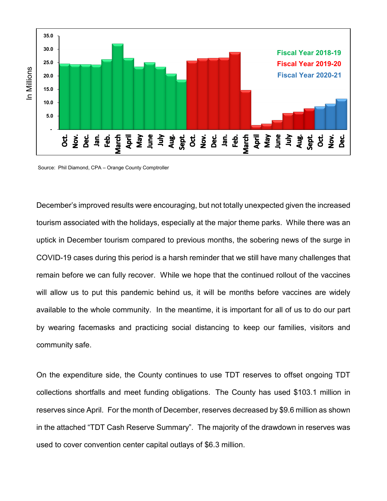

Source: Phil Diamond, CPA – Orange County Comptroller

December's improved results were encouraging, but not totally unexpected given the increased tourism associated with the holidays, especially at the major theme parks. While there was an uptick in December tourism compared to previous months, the sobering news of the surge in COVID-19 cases during this period is a harsh reminder that we still have many challenges that remain before we can fully recover. While we hope that the continued rollout of the vaccines will allow us to put this pandemic behind us, it will be months before vaccines are widely available to the whole community. In the meantime, it is important for all of us to do our part by wearing facemasks and practicing social distancing to keep our families, visitors and community safe.

On the expenditure side, the County continues to use TDT reserves to offset ongoing TDT collections shortfalls and meet funding obligations. The County has used \$103.1 million in reserves since April. For the month of December, reserves decreased by \$9.6 million as shown in the attached "TDT Cash Reserve Summary". The majority of the drawdown in reserves was used to cover convention center capital outlays of \$6.3 million.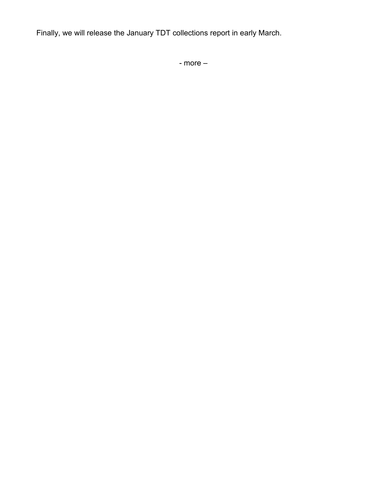Finally, we will release the January TDT collections report in early March.

- more –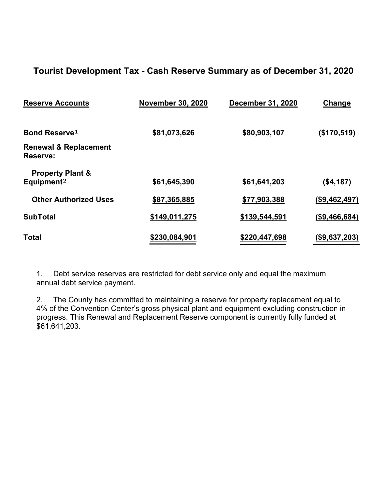### **Tourist Development Tax - Cash Reserve Summary as of December 31, 2020**

| <b>Reserve Accounts</b>                      | <b>November 30, 2020</b> | <b>December 31, 2020</b> | Change               |  |
|----------------------------------------------|--------------------------|--------------------------|----------------------|--|
| <b>Bond Reserve1</b>                         | \$81,073,626             | \$80,903,107             | (\$170,519)          |  |
| <b>Renewal &amp; Replacement</b><br>Reserve: |                          |                          |                      |  |
| <b>Property Plant &amp;</b>                  |                          |                          |                      |  |
| Equipment <sup>2</sup>                       | \$61,645,390             | \$61,641,203             | ( \$4,187)           |  |
| <b>Other Authorized Uses</b>                 | \$87,365,885             | \$77,903,388             | (\$9,462,497)        |  |
| <b>SubTotal</b>                              | \$149,011,275            | \$139,544,591            | (\$9,466,684)        |  |
| <b>Total</b>                                 | \$230,084,901            | \$220,447,698            | <u>(\$9,637,203)</u> |  |

1. Debt service reserves are restricted for debt service only and equal the maximum annual debt service payment.

2. The County has committed to maintaining a reserve for property replacement equal to 4% of the Convention Center's gross physical plant and equipment-excluding construction in progress. This Renewal and Replacement Reserve component is currently fully funded at \$61,641,203.